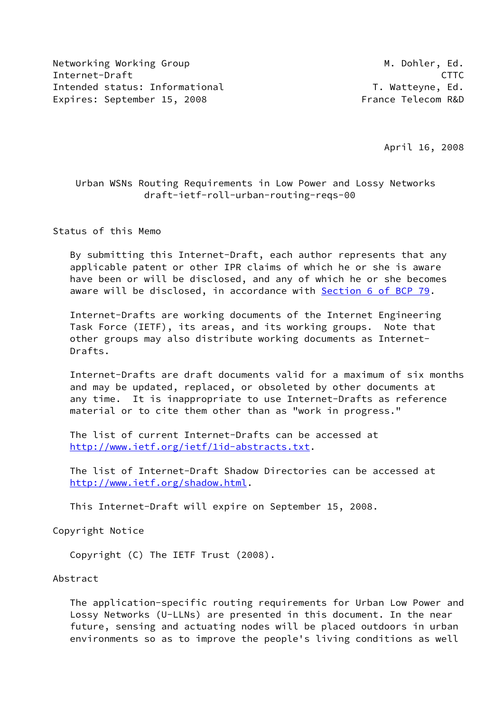Networking Working Group Metworking Working Group Metworking Metworking Metworking Metal Internet-Draft CTTC Intended status: Informational T. Watteyne, Ed. Expires: September 15, 2008 France Telecom R&D

April 16, 2008

# Urban WSNs Routing Requirements in Low Power and Lossy Networks draft-ietf-roll-urban-routing-reqs-00

Status of this Memo

 By submitting this Internet-Draft, each author represents that any applicable patent or other IPR claims of which he or she is aware have been or will be disclosed, and any of which he or she becomes aware will be disclosed, in accordance with Section [6 of BCP 79.](https://datatracker.ietf.org/doc/pdf/bcp79#section-6)

 Internet-Drafts are working documents of the Internet Engineering Task Force (IETF), its areas, and its working groups. Note that other groups may also distribute working documents as Internet- Drafts.

 Internet-Drafts are draft documents valid for a maximum of six months and may be updated, replaced, or obsoleted by other documents at any time. It is inappropriate to use Internet-Drafts as reference material or to cite them other than as "work in progress."

 The list of current Internet-Drafts can be accessed at <http://www.ietf.org/ietf/1id-abstracts.txt>.

 The list of Internet-Draft Shadow Directories can be accessed at <http://www.ietf.org/shadow.html>.

This Internet-Draft will expire on September 15, 2008.

Copyright Notice

Copyright (C) The IETF Trust (2008).

#### Abstract

 The application-specific routing requirements for Urban Low Power and Lossy Networks (U-LLNs) are presented in this document. In the near future, sensing and actuating nodes will be placed outdoors in urban environments so as to improve the people's living conditions as well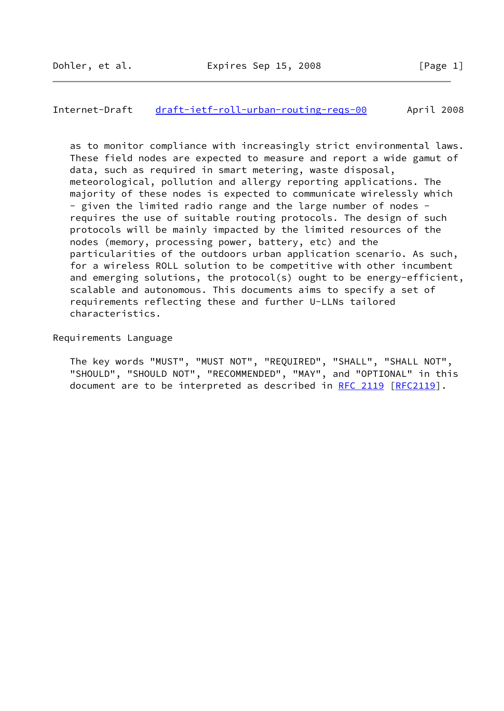#### Internet-Draft [draft-ietf-roll-urban-routing-reqs-00](https://datatracker.ietf.org/doc/pdf/draft-ietf-roll-urban-routing-reqs-00) April 2008

 as to monitor compliance with increasingly strict environmental laws. These field nodes are expected to measure and report a wide gamut of data, such as required in smart metering, waste disposal, meteorological, pollution and allergy reporting applications. The majority of these nodes is expected to communicate wirelessly which - given the limited radio range and the large number of nodes requires the use of suitable routing protocols. The design of such protocols will be mainly impacted by the limited resources of the nodes (memory, processing power, battery, etc) and the particularities of the outdoors urban application scenario. As such, for a wireless ROLL solution to be competitive with other incumbent and emerging solutions, the protocol(s) ought to be energy-efficient, scalable and autonomous. This documents aims to specify a set of requirements reflecting these and further U-LLNs tailored characteristics.

Requirements Language

 The key words "MUST", "MUST NOT", "REQUIRED", "SHALL", "SHALL NOT", "SHOULD", "SHOULD NOT", "RECOMMENDED", "MAY", and "OPTIONAL" in this document are to be interpreted as described in [RFC 2119 \[RFC2119](https://datatracker.ietf.org/doc/pdf/rfc2119)].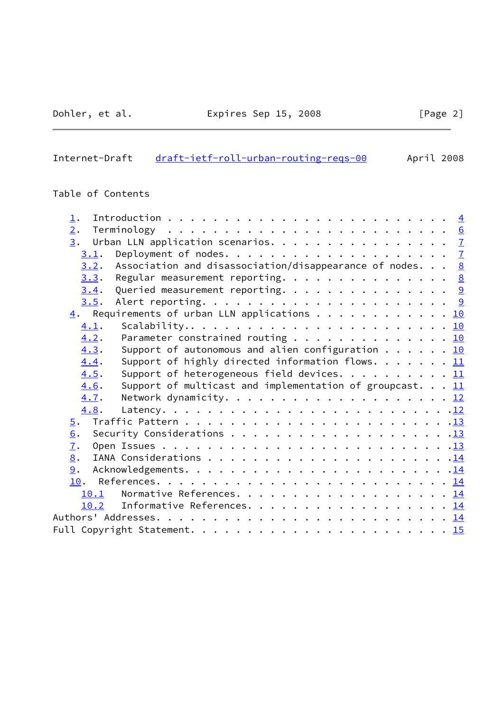$\overline{a}$ 

# Internet-Draft [draft-ietf-roll-urban-routing-reqs-00](https://datatracker.ietf.org/doc/pdf/draft-ietf-roll-urban-routing-reqs-00) April 2008

# Table of Contents

| $\perp$ .                                                                      |  |
|--------------------------------------------------------------------------------|--|
| 2.                                                                             |  |
| $\underline{3}$ . Urban LLN application scenarios. $\underline{7}$             |  |
| 3.1.                                                                           |  |
| Association and disassociation/disappearance of nodes. $\underline{8}$<br>3.2. |  |
| Regular measurement reporting. 8<br>3.3.                                       |  |
| Queried measurement reporting. 9<br>3.4.                                       |  |
| 3.5.                                                                           |  |
| $\underline{4}$ . Requirements of urban LLN applications 10                    |  |
| 4.1.                                                                           |  |
| Parameter constrained routing 10<br>4.2.                                       |  |
| Support of autonomous and alien configuration 10<br>4.3.                       |  |
| Support of highly directed information flows. $11$<br>4.4.                     |  |
| Support of heterogeneous field devices. 11<br>4.5.                             |  |
| 4.6.<br>Support of multicast and implementation of groupcast. $11$             |  |
| 4.7.                                                                           |  |
| 4.8.                                                                           |  |
|                                                                                |  |
| 6.                                                                             |  |
| 7.                                                                             |  |
| 8.                                                                             |  |
| 9.                                                                             |  |
|                                                                                |  |
| 10.1                                                                           |  |
| Informative References. 14<br>10.2                                             |  |
|                                                                                |  |
|                                                                                |  |
|                                                                                |  |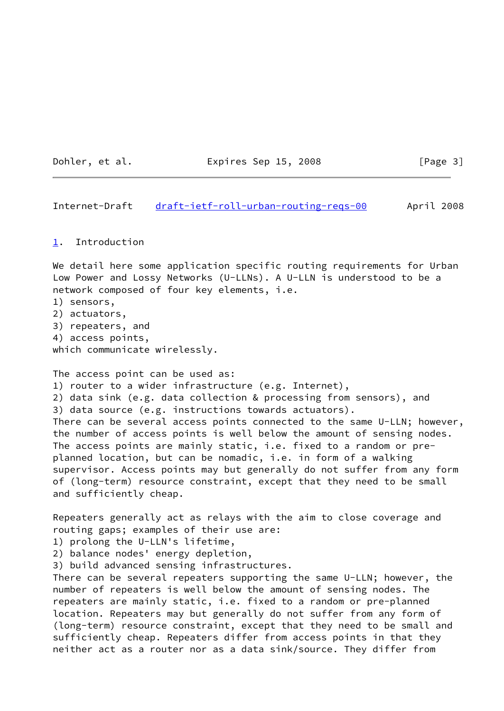Dohler, et al. **Expires Sep 15, 2008** [Page 3]

<span id="page-3-1"></span>Internet-Draft [draft-ietf-roll-urban-routing-reqs-00](https://datatracker.ietf.org/doc/pdf/draft-ietf-roll-urban-routing-reqs-00) April 2008

#### <span id="page-3-0"></span>[1](#page-3-0). Introduction

We detail here some application specific routing requirements for Urban Low Power and Lossy Networks (U-LLNs). A U-LLN is understood to be a network composed of four key elements, i.e. 1) sensors, 2) actuators, 3) repeaters, and 4) access points, which communicate wirelessly. The access point can be used as: 1) router to a wider infrastructure (e.g. Internet), 2) data sink (e.g. data collection & processing from sensors), and 3) data source (e.g. instructions towards actuators). There can be several access points connected to the same U-LLN; however, the number of access points is well below the amount of sensing nodes. The access points are mainly static, i.e. fixed to a random or preplanned location, but can be nomadic, i.e. in form of a walking supervisor. Access points may but generally do not suffer from any form of (long-term) resource constraint, except that they need to be small and sufficiently cheap.

Repeaters generally act as relays with the aim to close coverage and routing gaps; examples of their use are:

1) prolong the U-LLN's lifetime,

2) balance nodes' energy depletion,

3) build advanced sensing infrastructures.

There can be several repeaters supporting the same U-LLN; however, the number of repeaters is well below the amount of sensing nodes. The repeaters are mainly static, i.e. fixed to a random or pre-planned location. Repeaters may but generally do not suffer from any form of (long-term) resource constraint, except that they need to be small and sufficiently cheap. Repeaters differ from access points in that they neither act as a router nor as a data sink/source. They differ from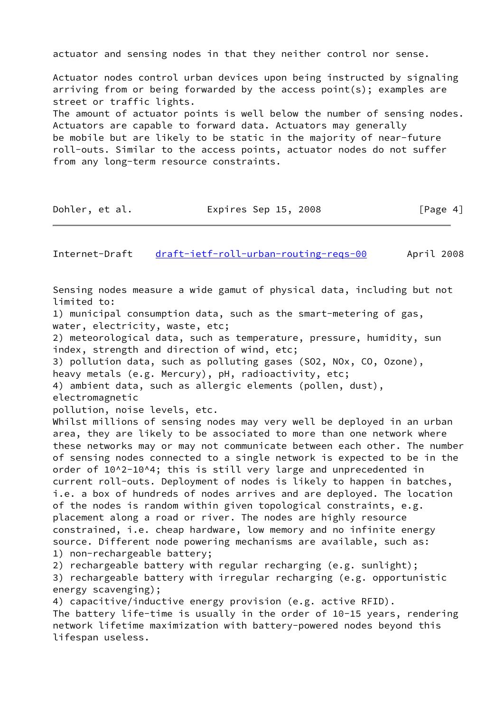actuator and sensing nodes in that they neither control nor sense.

Actuator nodes control urban devices upon being instructed by signaling arriving from or being forwarded by the access point(s); examples are street or traffic lights. The amount of actuator points is well below the number of sensing nodes. Actuators are capable to forward data. Actuators may generally be mobile but are likely to be static in the majority of near-future roll-outs. Similar to the access points, actuator nodes do not suffer from any long-term resource constraints.

Dohler, et al. Expires Sep 15, 2008 [Page 4]

Internet-Draft [draft-ietf-roll-urban-routing-reqs-00](https://datatracker.ietf.org/doc/pdf/draft-ietf-roll-urban-routing-reqs-00) April 2008

Sensing nodes measure a wide gamut of physical data, including but not limited to: 1) municipal consumption data, such as the smart-metering of gas, water, electricity, waste, etc; 2) meteorological data, such as temperature, pressure, humidity, sun index, strength and direction of wind, etc; 3) pollution data, such as polluting gases (SO2, NOx, CO, Ozone), heavy metals (e.g. Mercury), pH, radioactivity, etc; 4) ambient data, such as allergic elements (pollen, dust), electromagnetic pollution, noise levels, etc. Whilst millions of sensing nodes may very well be deployed in an urban area, they are likely to be associated to more than one network where these networks may or may not communicate between each other. The number of sensing nodes connected to a single network is expected to be in the order of 10^2-10^4; this is still very large and unprecedented in current roll-outs. Deployment of nodes is likely to happen in batches, i.e. a box of hundreds of nodes arrives and are deployed. The location of the nodes is random within given topological constraints, e.g. placement along a road or river. The nodes are highly resource constrained, i.e. cheap hardware, low memory and no infinite energy source. Different node powering mechanisms are available, such as: 1) non-rechargeable battery; 2) rechargeable battery with regular recharging (e.g. sunlight); 3) rechargeable battery with irregular recharging (e.g. opportunistic energy scavenging); 4) capacitive/inductive energy provision (e.g. active RFID). The battery life-time is usually in the order of 10-15 years, rendering network lifetime maximization with battery-powered nodes beyond this lifespan useless.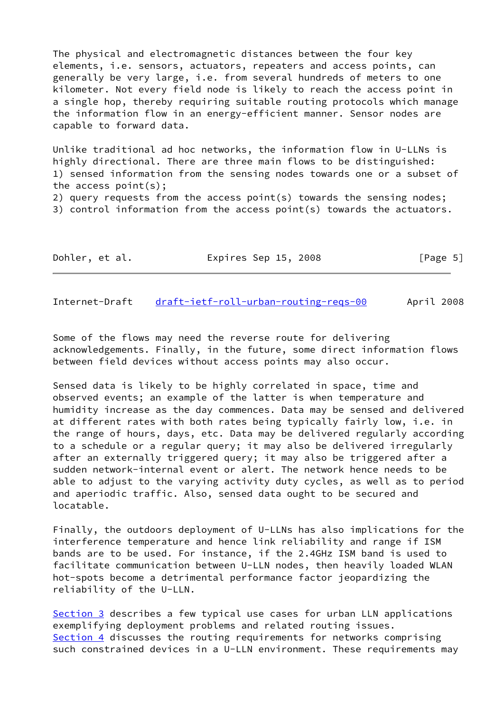The physical and electromagnetic distances between the four key elements, i.e. sensors, actuators, repeaters and access points, can generally be very large, i.e. from several hundreds of meters to one kilometer. Not every field node is likely to reach the access point in a single hop, thereby requiring suitable routing protocols which manage the information flow in an energy-efficient manner. Sensor nodes are capable to forward data.

Unlike traditional ad hoc networks, the information flow in U-LLNs is highly directional. There are three main flows to be distinguished: 1) sensed information from the sensing nodes towards one or a subset of the access point(s);

2) query requests from the access point(s) towards the sensing nodes; 3) control information from the access point(s) towards the actuators.

| Dohler, et al. | Expires Sep 15, 2008 | [Page 5] |
|----------------|----------------------|----------|
|----------------|----------------------|----------|

<span id="page-5-0"></span>Internet-Draft [draft-ietf-roll-urban-routing-reqs-00](https://datatracker.ietf.org/doc/pdf/draft-ietf-roll-urban-routing-reqs-00) April 2008

Some of the flows may need the reverse route for delivering acknowledgements. Finally, in the future, some direct information flows between field devices without access points may also occur.

Sensed data is likely to be highly correlated in space, time and observed events; an example of the latter is when temperature and humidity increase as the day commences. Data may be sensed and delivered at different rates with both rates being typically fairly low, i.e. in the range of hours, days, etc. Data may be delivered regularly according to a schedule or a regular query; it may also be delivered irregularly after an externally triggered query; it may also be triggered after a sudden network-internal event or alert. The network hence needs to be able to adjust to the varying activity duty cycles, as well as to period and aperiodic traffic. Also, sensed data ought to be secured and locatable.

Finally, the outdoors deployment of U-LLNs has also implications for the interference temperature and hence link reliability and range if ISM bands are to be used. For instance, if the 2.4GHz ISM band is used to facilitate communication between U-LLN nodes, then heavily loaded WLAN hot-spots become a detrimental performance factor jeopardizing the reliability of the U-LLN.

[Section 3](#page-6-1) describes a few typical use cases for urban LLN applications exemplifying deployment problems and related routing issues. [Section 4](#page-9-1) discusses the routing requirements for networks comprising such constrained devices in a U-LLN environment. These requirements may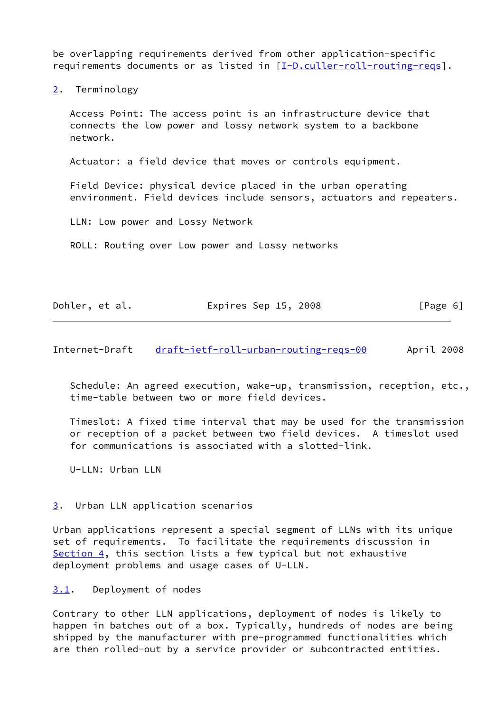be overlapping requirements derived from other application-specific requirements documents or as listed in [\[I-D.culler-roll-routing-reqs](#page-14-6)].

<span id="page-6-0"></span>[2](#page-6-0). Terminology

 Access Point: The access point is an infrastructure device that connects the low power and lossy network system to a backbone network.

Actuator: a field device that moves or controls equipment.

 Field Device: physical device placed in the urban operating environment. Field devices include sensors, actuators and repeaters.

LLN: Low power and Lossy Network

ROLL: Routing over Low power and Lossy networks

| Dohler, et al. | Expires Sep 15, 2008 | [Page 6] |
|----------------|----------------------|----------|
|----------------|----------------------|----------|

<span id="page-6-2"></span>Internet-Draft [draft-ietf-roll-urban-routing-reqs-00](https://datatracker.ietf.org/doc/pdf/draft-ietf-roll-urban-routing-reqs-00) April 2008

 Schedule: An agreed execution, wake-up, transmission, reception, etc., time-table between two or more field devices.

 Timeslot: A fixed time interval that may be used for the transmission or reception of a packet between two field devices. A timeslot used for communications is associated with a slotted-link.

U-LLN: Urban LLN

#### <span id="page-6-1"></span>[3](#page-6-1). Urban LLN application scenarios

Urban applications represent a special segment of LLNs with its unique set of requirements. To facilitate the requirements discussion in [Section 4](#page-9-1), this section lists a few typical but not exhaustive deployment problems and usage cases of U-LLN.

<span id="page-6-3"></span>[3.1](#page-6-3). Deployment of nodes

Contrary to other LLN applications, deployment of nodes is likely to happen in batches out of a box. Typically, hundreds of nodes are being shipped by the manufacturer with pre-programmed functionalities which are then rolled-out by a service provider or subcontracted entities.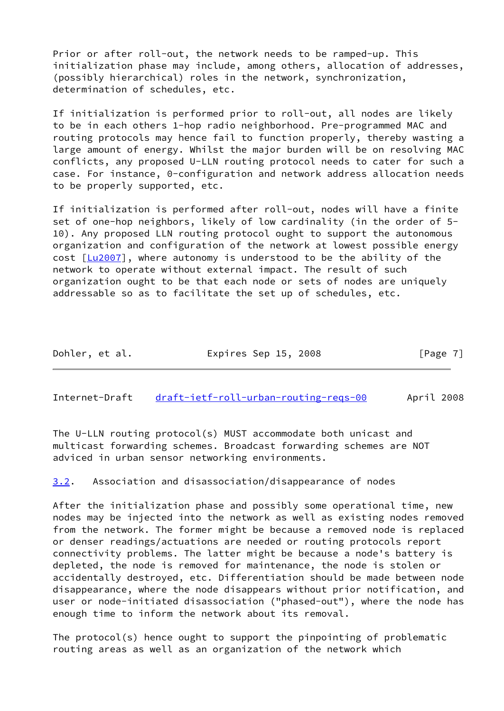Prior or after roll-out, the network needs to be ramped-up. This initialization phase may include, among others, allocation of addresses, (possibly hierarchical) roles in the network, synchronization, determination of schedules, etc.

If initialization is performed prior to roll-out, all nodes are likely to be in each others 1-hop radio neighborhood. Pre-programmed MAC and routing protocols may hence fail to function properly, thereby wasting a large amount of energy. Whilst the major burden will be on resolving MAC conflicts, any proposed U-LLN routing protocol needs to cater for such a case. For instance, 0-configuration and network address allocation needs to be properly supported, etc.

If initialization is performed after roll-out, nodes will have a finite set of one-hop neighbors, likely of low cardinality (in the order of 5- 10). Any proposed LLN routing protocol ought to support the autonomous organization and configuration of the network at lowest possible energy cost [[Lu2007](#page-14-7)], where autonomy is understood to be the ability of the network to operate without external impact. The result of such organization ought to be that each node or sets of nodes are uniquely addressable so as to facilitate the set up of schedules, etc.

| Dohler, et al. | Expires Sep 15, 2008 | [Page 7] |
|----------------|----------------------|----------|
|----------------|----------------------|----------|

<span id="page-7-1"></span>Internet-Draft [draft-ietf-roll-urban-routing-reqs-00](https://datatracker.ietf.org/doc/pdf/draft-ietf-roll-urban-routing-reqs-00) April 2008

The U-LLN routing protocol(s) MUST accommodate both unicast and multicast forwarding schemes. Broadcast forwarding schemes are NOT adviced in urban sensor networking environments.

<span id="page-7-0"></span>[3.2](#page-7-0). Association and disassociation/disappearance of nodes

After the initialization phase and possibly some operational time, new nodes may be injected into the network as well as existing nodes removed from the network. The former might be because a removed node is replaced or denser readings/actuations are needed or routing protocols report connectivity problems. The latter might be because a node's battery is depleted, the node is removed for maintenance, the node is stolen or accidentally destroyed, etc. Differentiation should be made between node disappearance, where the node disappears without prior notification, and user or node-initiated disassociation ("phased-out"), where the node has enough time to inform the network about its removal.

The protocol(s) hence ought to support the pinpointing of problematic routing areas as well as an organization of the network which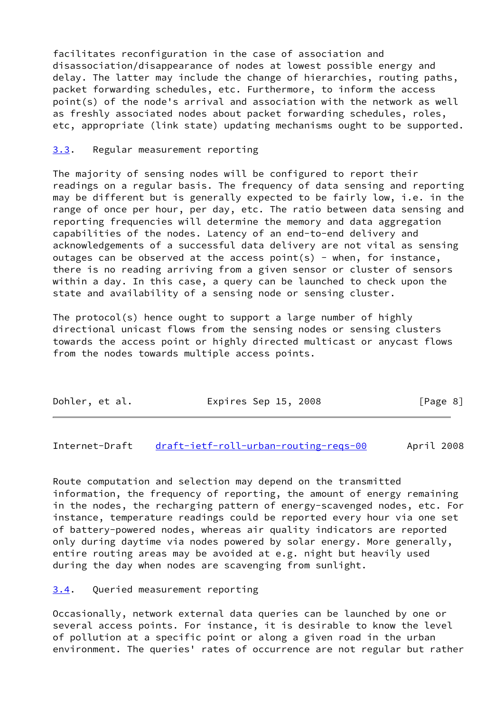facilitates reconfiguration in the case of association and disassociation/disappearance of nodes at lowest possible energy and delay. The latter may include the change of hierarchies, routing paths, packet forwarding schedules, etc. Furthermore, to inform the access point(s) of the node's arrival and association with the network as well as freshly associated nodes about packet forwarding schedules, roles, etc, appropriate (link state) updating mechanisms ought to be supported.

#### <span id="page-8-0"></span>[3.3](#page-8-0). Regular measurement reporting

The majority of sensing nodes will be configured to report their readings on a regular basis. The frequency of data sensing and reporting may be different but is generally expected to be fairly low, i.e. in the range of once per hour, per day, etc. The ratio between data sensing and reporting frequencies will determine the memory and data aggregation capabilities of the nodes. Latency of an end-to-end delivery and acknowledgements of a successful data delivery are not vital as sensing outages can be observed at the access point(s) - when, for instance, there is no reading arriving from a given sensor or cluster of sensors within a day. In this case, a query can be launched to check upon the state and availability of a sensing node or sensing cluster.

The protocol(s) hence ought to support a large number of highly directional unicast flows from the sensing nodes or sensing clusters towards the access point or highly directed multicast or anycast flows from the nodes towards multiple access points.

| Dohler, et al. | Expires Sep 15, 2008 | [Page 8] |
|----------------|----------------------|----------|
|----------------|----------------------|----------|

<span id="page-8-2"></span>Internet-Draft [draft-ietf-roll-urban-routing-reqs-00](https://datatracker.ietf.org/doc/pdf/draft-ietf-roll-urban-routing-reqs-00) April 2008

Route computation and selection may depend on the transmitted information, the frequency of reporting, the amount of energy remaining in the nodes, the recharging pattern of energy-scavenged nodes, etc. For instance, temperature readings could be reported every hour via one set of battery-powered nodes, whereas air quality indicators are reported only during daytime via nodes powered by solar energy. More generally, entire routing areas may be avoided at e.g. night but heavily used during the day when nodes are scavenging from sunlight.

<span id="page-8-1"></span>[3.4](#page-8-1). Queried measurement reporting

Occasionally, network external data queries can be launched by one or several access points. For instance, it is desirable to know the level of pollution at a specific point or along a given road in the urban environment. The queries' rates of occurrence are not regular but rather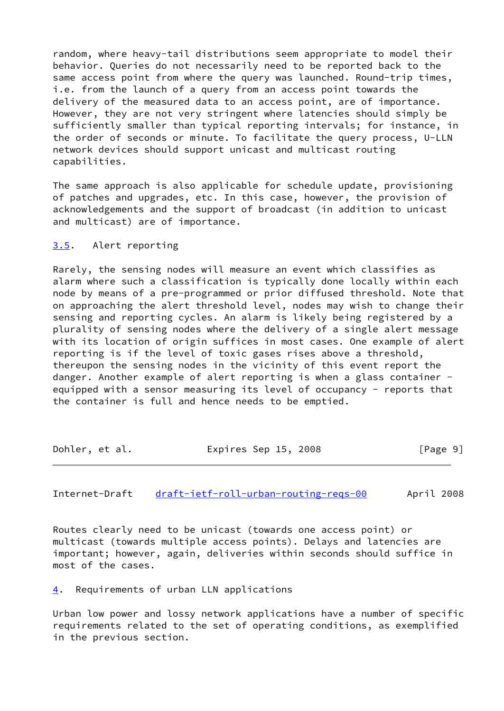random, where heavy-tail distributions seem appropriate to model their behavior. Queries do not necessarily need to be reported back to the same access point from where the query was launched. Round-trip times, i.e. from the launch of a query from an access point towards the delivery of the measured data to an access point, are of importance. However, they are not very stringent where latencies should simply be sufficiently smaller than typical reporting intervals; for instance, in the order of seconds or minute. To facilitate the query process, U-LLN network devices should support unicast and multicast routing capabilities.

The same approach is also applicable for schedule update, provisioning of patches and upgrades, etc. In this case, however, the provision of acknowledgements and the support of broadcast (in addition to unicast and multicast) are of importance.

#### <span id="page-9-0"></span>[3.5](#page-9-0). Alert reporting

Rarely, the sensing nodes will measure an event which classifies as alarm where such a classification is typically done locally within each node by means of a pre-programmed or prior diffused threshold. Note that on approaching the alert threshold level, nodes may wish to change their sensing and reporting cycles. An alarm is likely being registered by a plurality of sensing nodes where the delivery of a single alert message with its location of origin suffices in most cases. One example of alert reporting is if the level of toxic gases rises above a threshold, thereupon the sensing nodes in the vicinity of this event report the danger. Another example of alert reporting is when a glass container equipped with a sensor measuring its level of occupancy - reports that the container is full and hence needs to be emptied.

| Dohler, et al. | Expires Sep 15, 2008 | [Page 9] |
|----------------|----------------------|----------|
|                |                      |          |

<span id="page-9-2"></span>Internet-Draft [draft-ietf-roll-urban-routing-reqs-00](https://datatracker.ietf.org/doc/pdf/draft-ietf-roll-urban-routing-reqs-00) April 2008

Routes clearly need to be unicast (towards one access point) or multicast (towards multiple access points). Delays and latencies are important; however, again, deliveries within seconds should suffice in most of the cases.

<span id="page-9-1"></span>[4](#page-9-1). Requirements of urban LLN applications

Urban low power and lossy network applications have a number of specific requirements related to the set of operating conditions, as exemplified in the previous section.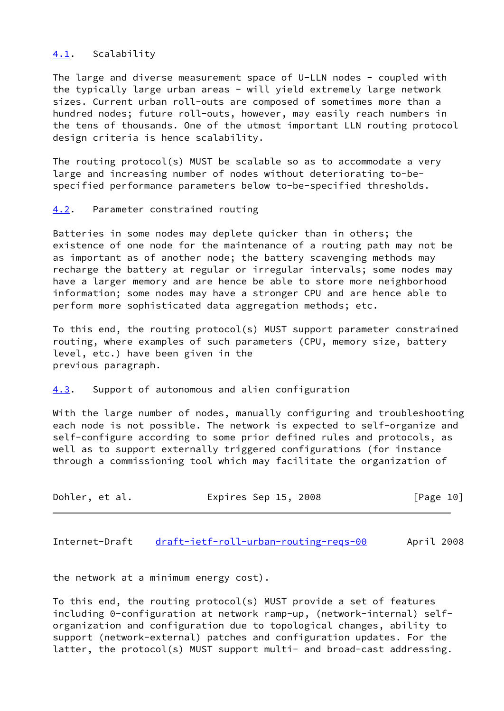#### <span id="page-10-0"></span>[4.1](#page-10-0). Scalability

The large and diverse measurement space of U-LLN nodes - coupled with the typically large urban areas - will yield extremely large network sizes. Current urban roll-outs are composed of sometimes more than a hundred nodes; future roll-outs, however, may easily reach numbers in the tens of thousands. One of the utmost important LLN routing protocol design criteria is hence scalability.

The routing protocol(s) MUST be scalable so as to accommodate a very large and increasing number of nodes without deteriorating to-bespecified performance parameters below to-be-specified thresholds.

#### <span id="page-10-1"></span>[4.2](#page-10-1). Parameter constrained routing

Batteries in some nodes may deplete quicker than in others; the existence of one node for the maintenance of a routing path may not be as important as of another node; the battery scavenging methods may recharge the battery at regular or irregular intervals; some nodes may have a larger memory and are hence be able to store more neighborhood information; some nodes may have a stronger CPU and are hence able to perform more sophisticated data aggregation methods; etc.

To this end, the routing protocol(s) MUST support parameter constrained routing, where examples of such parameters (CPU, memory size, battery level, etc.) have been given in the previous paragraph.

#### <span id="page-10-2"></span>[4.3](#page-10-2). Support of autonomous and alien configuration

With the large number of nodes, manually configuring and troubleshooting each node is not possible. The network is expected to self-organize and self-configure according to some prior defined rules and protocols, as well as to support externally triggered configurations (for instance through a commissioning tool which may facilitate the organization of

| Dohler, et al. | Expires Sep 15, 2008 | [Page 10] |
|----------------|----------------------|-----------|
|----------------|----------------------|-----------|

<span id="page-10-3"></span>Internet-Draft [draft-ietf-roll-urban-routing-reqs-00](https://datatracker.ietf.org/doc/pdf/draft-ietf-roll-urban-routing-reqs-00) April 2008

the network at a minimum energy cost).

To this end, the routing protocol(s) MUST provide a set of features including 0-configuration at network ramp-up, (network-internal) selforganization and configuration due to topological changes, ability to support (network-external) patches and configuration updates. For the latter, the protocol(s) MUST support multi- and broad-cast addressing.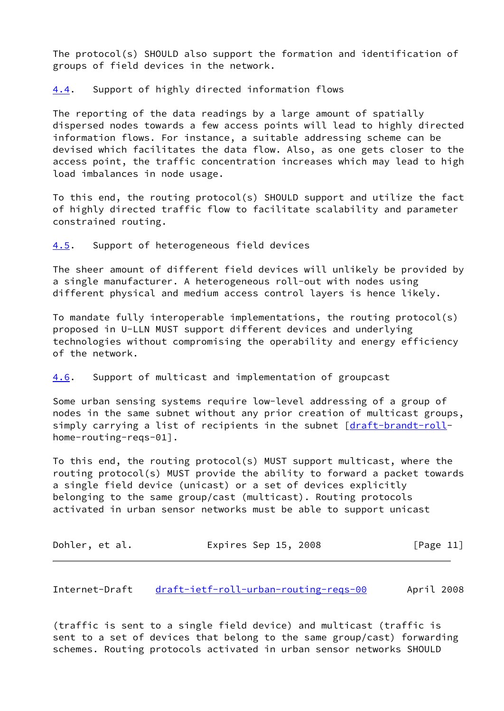The protocol(s) SHOULD also support the formation and identification of groups of field devices in the network.

<span id="page-11-0"></span>[4.4](#page-11-0). Support of highly directed information flows

The reporting of the data readings by a large amount of spatially dispersed nodes towards a few access points will lead to highly directed information flows. For instance, a suitable addressing scheme can be devised which facilitates the data flow. Also, as one gets closer to the access point, the traffic concentration increases which may lead to high load imbalances in node usage.

To this end, the routing protocol(s) SHOULD support and utilize the fact of highly directed traffic flow to facilitate scalability and parameter constrained routing.

<span id="page-11-1"></span>[4.5](#page-11-1). Support of heterogeneous field devices

The sheer amount of different field devices will unlikely be provided by a single manufacturer. A heterogeneous roll-out with nodes using different physical and medium access control layers is hence likely.

To mandate fully interoperable implementations, the routing protocol(s) proposed in U-LLN MUST support different devices and underlying technologies without compromising the operability and energy efficiency of the network.

#### <span id="page-11-2"></span>[4.6](#page-11-2). Support of multicast and implementation of groupcast

Some urban sensing systems require low-level addressing of a group of nodes in the same subnet without any prior creation of multicast groups, simply carrying a list of recipients in the subnet [\[draft-brandt-roll](https://datatracker.ietf.org/doc/pdf/draft-brandt-roll)home-routing-reqs-01].

To this end, the routing protocol(s) MUST support multicast, where the routing protocol(s) MUST provide the ability to forward a packet towards a single field device (unicast) or a set of devices explicitly belonging to the same group/cast (multicast). Routing protocols activated in urban sensor networks must be able to support unicast

| Dohler, et al. | Expires Sep 15, 2008 | [Page 11] |
|----------------|----------------------|-----------|
|----------------|----------------------|-----------|

<span id="page-11-3"></span>Internet-Draft [draft-ietf-roll-urban-routing-reqs-00](https://datatracker.ietf.org/doc/pdf/draft-ietf-roll-urban-routing-reqs-00) April 2008

(traffic is sent to a single field device) and multicast (traffic is sent to a set of devices that belong to the same group/cast) forwarding schemes. Routing protocols activated in urban sensor networks SHOULD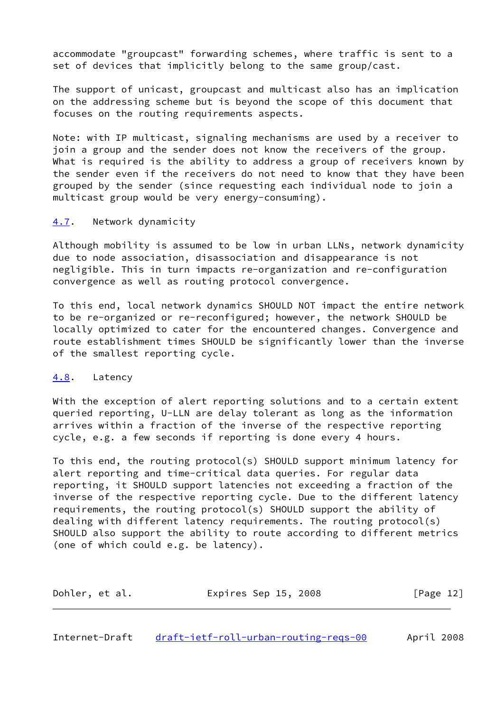accommodate "groupcast" forwarding schemes, where traffic is sent to a set of devices that implicitly belong to the same group/cast.

The support of unicast, groupcast and multicast also has an implication on the addressing scheme but is beyond the scope of this document that focuses on the routing requirements aspects.

Note: with IP multicast, signaling mechanisms are used by a receiver to join a group and the sender does not know the receivers of the group. What is required is the ability to address a group of receivers known by the sender even if the receivers do not need to know that they have been grouped by the sender (since requesting each individual node to join a multicast group would be very energy-consuming).

#### <span id="page-12-0"></span>[4.7](#page-12-0). Network dynamicity

Although mobility is assumed to be low in urban LLNs, network dynamicity due to node association, disassociation and disappearance is not negligible. This in turn impacts re-organization and re-configuration convergence as well as routing protocol convergence.

To this end, local network dynamics SHOULD NOT impact the entire network to be re-organized or re-reconfigured; however, the network SHOULD be locally optimized to cater for the encountered changes. Convergence and route establishment times SHOULD be significantly lower than the inverse of the smallest reporting cycle.

#### <span id="page-12-1"></span>[4.8](#page-12-1). Latency

With the exception of alert reporting solutions and to a certain extent queried reporting, U-LLN are delay tolerant as long as the information arrives within a fraction of the inverse of the respective reporting cycle, e.g. a few seconds if reporting is done every 4 hours.

To this end, the routing protocol(s) SHOULD support minimum latency for alert reporting and time-critical data queries. For regular data reporting, it SHOULD support latencies not exceeding a fraction of the inverse of the respective reporting cycle. Due to the different latency requirements, the routing protocol(s) SHOULD support the ability of dealing with different latency requirements. The routing protocol(s) SHOULD also support the ability to route according to different metrics (one of which could e.g. be latency).

| Dohler, et al. | Expires Sep 15, 2008 | [Page 12] |
|----------------|----------------------|-----------|
|                |                      |           |

<span id="page-12-2"></span>Internet-Draft [draft-ietf-roll-urban-routing-reqs-00](https://datatracker.ietf.org/doc/pdf/draft-ietf-roll-urban-routing-reqs-00) April 2008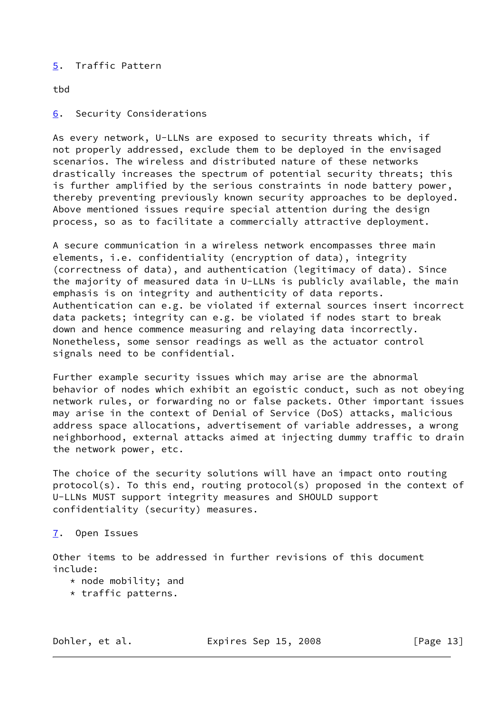# <span id="page-13-0"></span>[5](#page-13-0). Traffic Pattern

tbd

<span id="page-13-1"></span>[6](#page-13-1). Security Considerations

As every network, U-LLNs are exposed to security threats which, if not properly addressed, exclude them to be deployed in the envisaged scenarios. The wireless and distributed nature of these networks drastically increases the spectrum of potential security threats; this is further amplified by the serious constraints in node battery power, thereby preventing previously known security approaches to be deployed. Above mentioned issues require special attention during the design process, so as to facilitate a commercially attractive deployment.

A secure communication in a wireless network encompasses three main elements, i.e. confidentiality (encryption of data), integrity (correctness of data), and authentication (legitimacy of data). Since the majority of measured data in U-LLNs is publicly available, the main emphasis is on integrity and authenticity of data reports. Authentication can e.g. be violated if external sources insert incorrect data packets; integrity can e.g. be violated if nodes start to break down and hence commence measuring and relaying data incorrectly. Nonetheless, some sensor readings as well as the actuator control signals need to be confidential.

Further example security issues which may arise are the abnormal behavior of nodes which exhibit an egoistic conduct, such as not obeying network rules, or forwarding no or false packets. Other important issues may arise in the context of Denial of Service (DoS) attacks, malicious address space allocations, advertisement of variable addresses, a wrong neighborhood, external attacks aimed at injecting dummy traffic to drain the network power, etc.

The choice of the security solutions will have an impact onto routing protocol(s). To this end, routing protocol(s) proposed in the context of U-LLNs MUST support integrity measures and SHOULD support confidentiality (security) measures.

# <span id="page-13-2"></span>[7](#page-13-2). Open Issues

Other items to be addressed in further revisions of this document include:

- \* node mobility; and
- \* traffic patterns.

Dohler, et al. Expires Sep 15, 2008 [Page 13]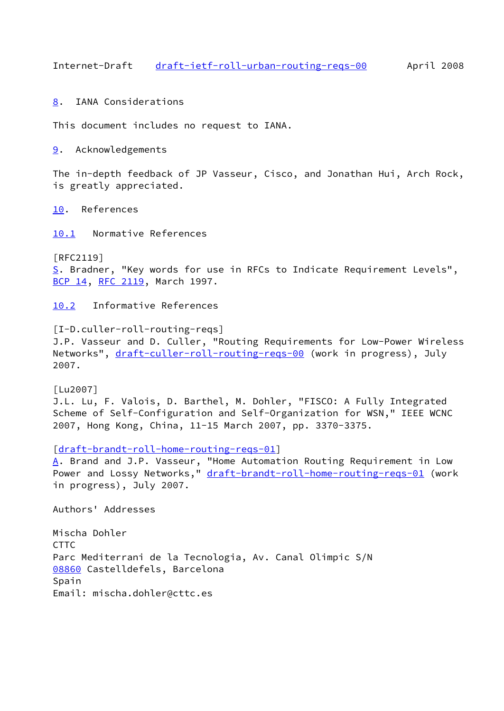<span id="page-14-1"></span>Internet-Draft [draft-ietf-roll-urban-routing-reqs-00](https://datatracker.ietf.org/doc/pdf/draft-ietf-roll-urban-routing-reqs-00) April 2008

<span id="page-14-0"></span>[8](#page-14-0). IANA Considerations

This document includes no request to IANA.

<span id="page-14-2"></span>[9](#page-14-2). Acknowledgements

The in-depth feedback of JP Vasseur, Cisco, and Jonathan Hui, Arch Rock, is greatly appreciated.

<span id="page-14-3"></span>[10.](#page-14-3) References

<span id="page-14-4"></span>[10.1](#page-14-4) Normative References

<span id="page-14-8"></span>[RFC2119] [S](#page-14-8). Bradner, "Key words for use in RFCs to Indicate Requirement Levels", [BCP 14](https://datatracker.ietf.org/doc/pdf/bcp14), [RFC 2119](https://datatracker.ietf.org/doc/pdf/rfc2119), March 1997.

<span id="page-14-5"></span>[10.2](#page-14-5) Informative References

<span id="page-14-6"></span>[I-D.culler-roll-routing-reqs] J.P. Vasseur and D. Culler, "Routing Requirements for Low-Power Wireless Networks", [draft-culler-roll-routing-reqs-00](https://datatracker.ietf.org/doc/pdf/draft-culler-roll-routing-reqs-00) (work in progress), July 2007.

<span id="page-14-7"></span>[Lu2007] J.L. Lu, F. Valois, D. Barthel, M. Dohler, "FISCO: A Fully Integrated Scheme of Self-Configuration and Self-Organization for WSN," IEEE WCNC 2007, Hong Kong, China, 11-15 March 2007, pp. 3370-3375.

[\[draft-brandt-roll-home-routing-reqs-01](https://datatracker.ietf.org/doc/pdf/draft-brandt-roll-home-routing-reqs-01)]

<span id="page-14-9"></span>[A](#page-14-9). Brand and J.P. Vasseur, "Home Automation Routing Requirement in Low Power and Lossy Networks," [draft-brandt-roll-home-routing-reqs-01](https://datatracker.ietf.org/doc/pdf/draft-brandt-roll-home-routing-reqs-01) (work in progress), July 2007.

Authors' Addresses

<span id="page-14-10"></span>Mischa Dohler **CTTC** Parc Mediterrani de la Tecnologia, Av. Canal Olimpic S/N [08860](#page-14-10) Castelldefels, Barcelona Spain Email: mischa.dohler@cttc.es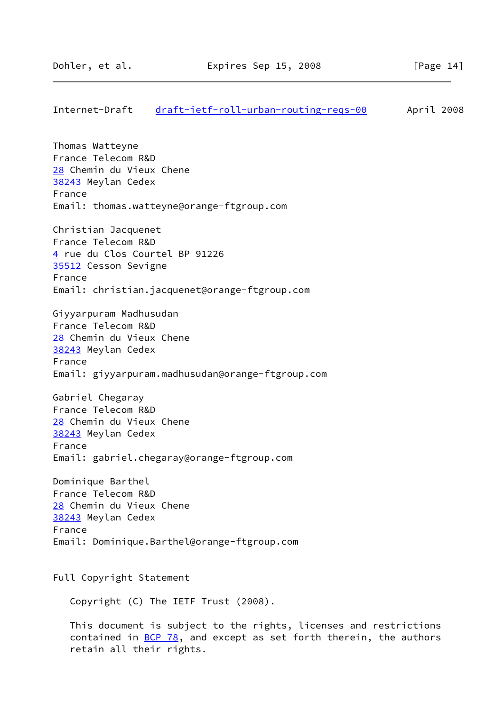# <span id="page-15-3"></span><span id="page-15-2"></span><span id="page-15-1"></span><span id="page-15-0"></span>Internet-Draft [draft-ietf-roll-urban-routing-reqs-00](https://datatracker.ietf.org/doc/pdf/draft-ietf-roll-urban-routing-reqs-00) April 2008 Thomas Watteyne France Telecom R&D [28](#page-15-1) Chemin du Vieux Chene [38243](#page-15-2) Meylan Cedex France Email: thomas.watteyne@orange-ftgroup.com Christian Jacquenet France Telecom R&D [4](#page-9-1) rue du Clos Courtel BP 91226 [35512](#page-15-3) Cesson Sevigne France Email: christian.jacquenet@orange-ftgroup.com Giyyarpuram Madhusudan France Telecom R&D [28](#page-15-1) Chemin du Vieux Chene [38243](#page-15-2) Meylan Cedex France Email: giyyarpuram.madhusudan@orange-ftgroup.com Gabriel Chegaray France Telecom R&D [28](#page-15-1) Chemin du Vieux Chene [38243](#page-15-2) Meylan Cedex France Email: gabriel.chegaray@orange-ftgroup.com Dominique Barthel France Telecom R&D [28](#page-15-1) Chemin du Vieux Chene [38243](#page-15-2) Meylan Cedex France Email: Dominique.Barthel@orange-ftgroup.com Full Copyright Statement Copyright (C) The IETF Trust (2008). This document is subject to the rights, licenses and restrictions contained in  $\underline{BCP}$  78, and except as set forth therein, the authors retain all their rights.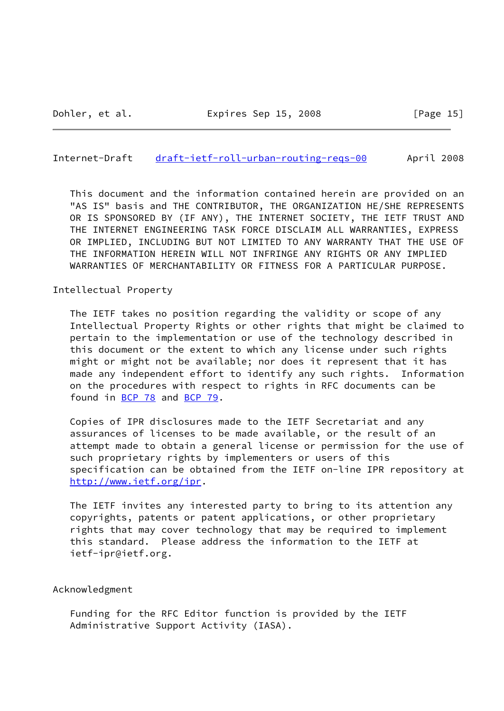#### Internet-Draft [draft-ietf-roll-urban-routing-reqs-00](https://datatracker.ietf.org/doc/pdf/draft-ietf-roll-urban-routing-reqs-00) April 2008

 This document and the information contained herein are provided on an "AS IS" basis and THE CONTRIBUTOR, THE ORGANIZATION HE/SHE REPRESENTS OR IS SPONSORED BY (IF ANY), THE INTERNET SOCIETY, THE IETF TRUST AND THE INTERNET ENGINEERING TASK FORCE DISCLAIM ALL WARRANTIES, EXPRESS OR IMPLIED, INCLUDING BUT NOT LIMITED TO ANY WARRANTY THAT THE USE OF THE INFORMATION HEREIN WILL NOT INFRINGE ANY RIGHTS OR ANY IMPLIED WARRANTIES OF MERCHANTABILITY OR FITNESS FOR A PARTICULAR PURPOSE.

Intellectual Property

 The IETF takes no position regarding the validity or scope of any Intellectual Property Rights or other rights that might be claimed to pertain to the implementation or use of the technology described in this document or the extent to which any license under such rights might or might not be available; nor does it represent that it has made any independent effort to identify any such rights. Information on the procedures with respect to rights in RFC documents can be found in [BCP 78](https://datatracker.ietf.org/doc/pdf/bcp78) and [BCP 79](https://datatracker.ietf.org/doc/pdf/bcp79).

 Copies of IPR disclosures made to the IETF Secretariat and any assurances of licenses to be made available, or the result of an attempt made to obtain a general license or permission for the use of such proprietary rights by implementers or users of this specification can be obtained from the IETF on-line IPR repository at <http://www.ietf.org/ipr>.

 The IETF invites any interested party to bring to its attention any copyrights, patents or patent applications, or other proprietary rights that may cover technology that may be required to implement this standard. Please address the information to the IETF at ietf-ipr@ietf.org.

#### Acknowledgment

 Funding for the RFC Editor function is provided by the IETF Administrative Support Activity (IASA).